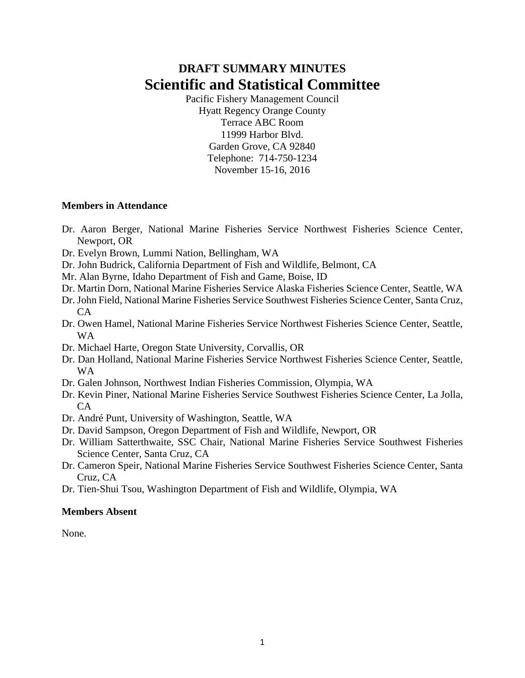# **DRAFT SUMMARY MINUTES Scientific and Statistical Committee**

Pacific Fishery Management Council Hyatt Regency Orange County Terrace ABC Room 11999 Harbor Blvd. Garden Grove, CA 92840 Telephone: 714-750-1234 November 15-16, 2016

#### **Members in Attendance**

- Dr. Aaron Berger, National Marine Fisheries Service Northwest Fisheries Science Center, Newport, OR
- Dr. Evelyn Brown, Lummi Nation, Bellingham, WA
- Dr. John Budrick, California Department of Fish and Wildlife, Belmont, CA
- Mr. Alan Byrne, Idaho Department of Fish and Game, Boise, ID
- Dr. Martin Dorn, National Marine Fisheries Service Alaska Fisheries Science Center, Seattle, WA
- Dr. John Field, National Marine Fisheries Service Southwest Fisheries Science Center, Santa Cruz, CA
- Dr. Owen Hamel, National Marine Fisheries Service Northwest Fisheries Science Center, Seattle, WA
- Dr. Michael Harte, Oregon State University, Corvallis, OR
- Dr. Dan Holland, National Marine Fisheries Service Northwest Fisheries Science Center, Seattle, WA
- Dr. Galen Johnson, Northwest Indian Fisheries Commission, Olympia, WA
- Dr. Kevin Piner, National Marine Fisheries Service Southwest Fisheries Science Center, La Jolla, CA
- Dr. André Punt, University of Washington, Seattle, WA
- Dr. David Sampson, Oregon Department of Fish and Wildlife, Newport, OR
- Dr. William Satterthwaite, SSC Chair, National Marine Fisheries Service Southwest Fisheries Science Center, Santa Cruz, CA
- Dr. Cameron Speir, National Marine Fisheries Service Southwest Fisheries Science Center, Santa Cruz, CA
- Dr. Tien-Shui Tsou, Washington Department of Fish and Wildlife, Olympia, WA

#### **Members Absent**

None.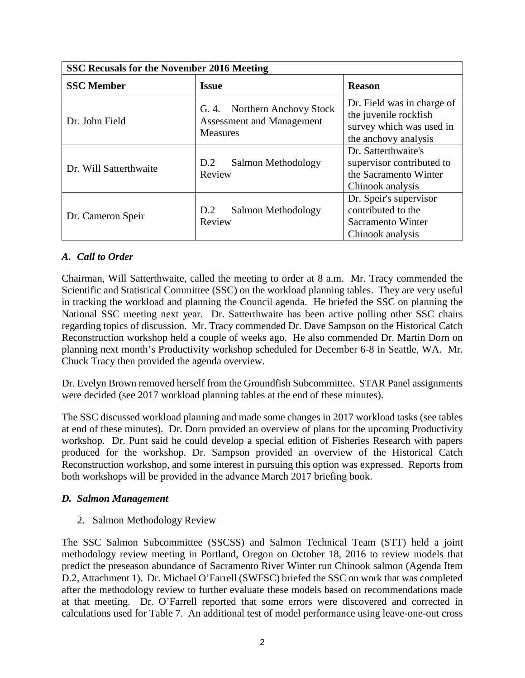| <b>SSC Recusals for the November 2016 Meeting</b> |                                                                                     |                                                                                                         |  |  |  |  |  |  |
|---------------------------------------------------|-------------------------------------------------------------------------------------|---------------------------------------------------------------------------------------------------------|--|--|--|--|--|--|
| <b>SSC Member</b>                                 | <b>Issue</b>                                                                        | <b>Reason</b>                                                                                           |  |  |  |  |  |  |
| Dr. John Field                                    | G. 4. Northern Anchovy Stock<br><b>Assessment and Management</b><br><b>Measures</b> | Dr. Field was in charge of<br>the juvenile rockfish<br>survey which was used in<br>the anchovy analysis |  |  |  |  |  |  |
| Dr. Will Satterthwaite                            | Salmon Methodology<br>D.2<br>Review                                                 | Dr. Satterthwaite's<br>supervisor contributed to<br>the Sacramento Winter<br>Chinook analysis           |  |  |  |  |  |  |
| Dr. Cameron Speir                                 | Salmon Methodology<br>D.2<br>Review                                                 | Dr. Speir's supervisor<br>contributed to the<br>Sacramento Winter<br>Chinook analysis                   |  |  |  |  |  |  |

# *A. Call to Order*

Chairman, Will Satterthwaite, called the meeting to order at 8 a.m. Mr. Tracy commended the Scientific and Statistical Committee (SSC) on the workload planning tables. They are very useful in tracking the workload and planning the Council agenda. He briefed the SSC on planning the National SSC meeting next year. Dr. Satterthwaite has been active polling other SSC chairs regarding topics of discussion. Mr. Tracy commended Dr. Dave Sampson on the Historical Catch Reconstruction workshop held a couple of weeks ago. He also commended Dr. Martin Dorn on planning next month's Productivity workshop scheduled for December 6-8 in Seattle, WA. Mr. Chuck Tracy then provided the agenda overview.

Dr. Evelyn Brown removed herself from the Groundfish Subcommittee. STAR Panel assignments were decided (see 2017 workload planning tables at the end of these minutes).

The SSC discussed workload planning and made some changes in 2017 workload tasks (see tables at end of these minutes). Dr. Dorn provided an overview of plans for the upcoming Productivity workshop. Dr. Punt said he could develop a special edition of Fisheries Research with papers produced for the workshop. Dr. Sampson provided an overview of the Historical Catch Reconstruction workshop, and some interest in pursuing this option was expressed. Reports from both workshops will be provided in the advance March 2017 briefing book.

# *D. Salmon Management*

2. Salmon Methodology Review

The SSC Salmon Subcommittee (SSCSS) and Salmon Technical Team (STT) held a joint methodology review meeting in Portland, Oregon on October 18, 2016 to review models that predict the preseason abundance of Sacramento River Winter run Chinook salmon (Agenda Item D.2, Attachment 1). Dr. Michael O'Farrell (SWFSC) briefed the SSC on work that was completed after the methodology review to further evaluate these models based on recommendations made at that meeting. Dr. O'Farrell reported that some errors were discovered and corrected in calculations used for Table 7. An additional test of model performance using leave-one-out cross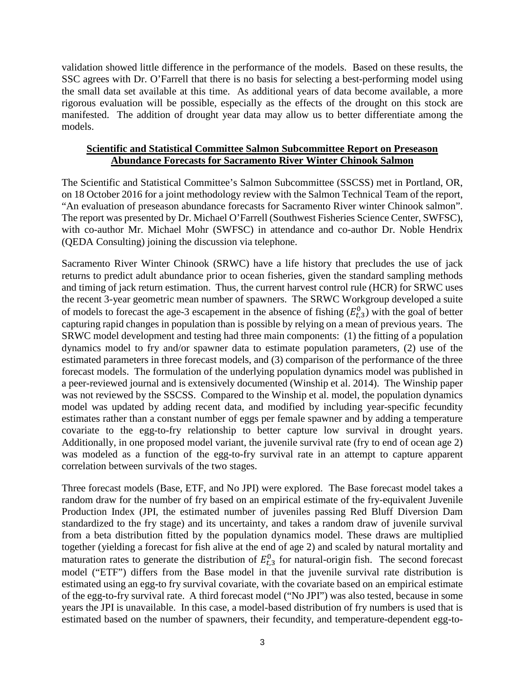validation showed little difference in the performance of the models. Based on these results, the SSC agrees with Dr. O'Farrell that there is no basis for selecting a best-performing model using the small data set available at this time. As additional years of data become available, a more rigorous evaluation will be possible, especially as the effects of the drought on this stock are manifested. The addition of drought year data may allow us to better differentiate among the models.

### **Scientific and Statistical Committee Salmon Subcommittee Report on Preseason Abundance Forecasts for Sacramento River Winter Chinook Salmon**

The Scientific and Statistical Committee's Salmon Subcommittee (SSCSS) met in Portland, OR, on 18 October 2016 for a joint methodology review with the Salmon Technical Team of the report, "An evaluation of preseason abundance forecasts for Sacramento River winter Chinook salmon". The report was presented by Dr. Michael O'Farrell (Southwest Fisheries Science Center, SWFSC), with co-author Mr. Michael Mohr (SWFSC) in attendance and co-author Dr. Noble Hendrix (QEDA Consulting) joining the discussion via telephone.

Sacramento River Winter Chinook (SRWC) have a life history that precludes the use of jack returns to predict adult abundance prior to ocean fisheries, given the standard sampling methods and timing of jack return estimation. Thus, the current harvest control rule (HCR) for SRWC uses the recent 3-year geometric mean number of spawners. The SRWC Workgroup developed a suite of models to forecast the age-3 escapement in the absence of fishing  $(E_{t,3}^0)$  with the goal of better capturing rapid changes in population than is possible by relying on a mean of previous years. The SRWC model development and testing had three main components: (1) the fitting of a population dynamics model to fry and/or spawner data to estimate population parameters, (2) use of the estimated parameters in three forecast models, and (3) comparison of the performance of the three forecast models. The formulation of the underlying population dynamics model was published in a peer-reviewed journal and is extensively documented (Winship et al. 2014). The Winship paper was not reviewed by the SSCSS. Compared to the Winship et al. model, the population dynamics model was updated by adding recent data, and modified by including year-specific fecundity estimates rather than a constant number of eggs per female spawner and by adding a temperature covariate to the egg-to-fry relationship to better capture low survival in drought years. Additionally, in one proposed model variant, the juvenile survival rate (fry to end of ocean age 2) was modeled as a function of the egg-to-fry survival rate in an attempt to capture apparent correlation between survivals of the two stages.

Three forecast models (Base, ETF, and No JPI) were explored. The Base forecast model takes a random draw for the number of fry based on an empirical estimate of the fry-equivalent Juvenile Production Index (JPI, the estimated number of juveniles passing Red Bluff Diversion Dam standardized to the fry stage) and its uncertainty, and takes a random draw of juvenile survival from a beta distribution fitted by the population dynamics model. These draws are multiplied together (yielding a forecast for fish alive at the end of age 2) and scaled by natural mortality and maturation rates to generate the distribution of  $E_{t,3}^{0}$  for natural-origin fish. The second forecast model ("ETF") differs from the Base model in that the juvenile survival rate distribution is estimated using an egg-to fry survival covariate, with the covariate based on an empirical estimate of the egg-to-fry survival rate. A third forecast model ("No JPI") was also tested, because in some years the JPI is unavailable. In this case, a model-based distribution of fry numbers is used that is estimated based on the number of spawners, their fecundity, and temperature-dependent egg-to-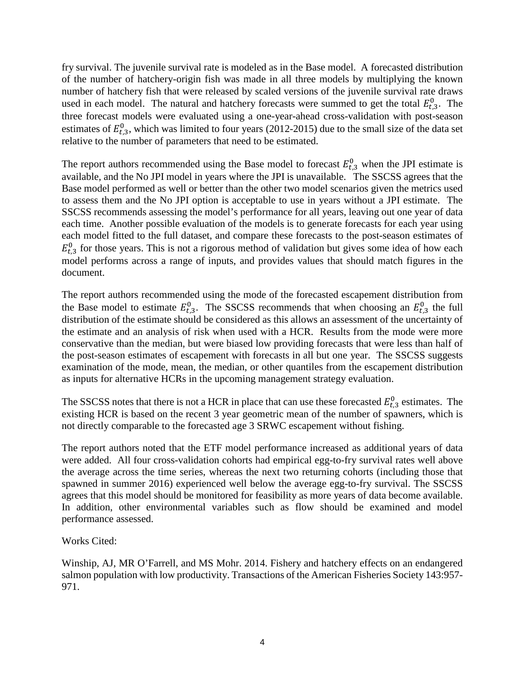fry survival. The juvenile survival rate is modeled as in the Base model. A forecasted distribution of the number of hatchery-origin fish was made in all three models by multiplying the known number of hatchery fish that were released by scaled versions of the juvenile survival rate draws used in each model. The natural and hatchery forecasts were summed to get the total  $E_{t,3}^0$ . The three forecast models were evaluated using a one-year-ahead cross-validation with post-season estimates of  $E_{t,3}^0$ , which was limited to four years (2012-2015) due to the small size of the data set relative to the number of parameters that need to be estimated.

The report authors recommended using the Base model to forecast  $E_{t,3}^0$  when the JPI estimate is available, and the No JPI model in years where the JPI is unavailable. The SSCSS agrees that the Base model performed as well or better than the other two model scenarios given the metrics used to assess them and the No JPI option is acceptable to use in years without a JPI estimate. The SSCSS recommends assessing the model's performance for all years, leaving out one year of data each time. Another possible evaluation of the models is to generate forecasts for each year using each model fitted to the full dataset, and compare these forecasts to the post-season estimates of  $E_{t,3}^{0}$  for those years. This is not a rigorous method of validation but gives some idea of how each model performs across a range of inputs, and provides values that should match figures in the document.

The report authors recommended using the mode of the forecasted escapement distribution from the Base model to estimate  $E_{t,3}^0$ . The SSCSS recommends that when choosing an  $E_{t,3}^0$  the full distribution of the estimate should be considered as this allows an assessment of the uncertainty of the estimate and an analysis of risk when used with a HCR. Results from the mode were more conservative than the median, but were biased low providing forecasts that were less than half of the post-season estimates of escapement with forecasts in all but one year. The SSCSS suggests examination of the mode, mean, the median, or other quantiles from the escapement distribution as inputs for alternative HCRs in the upcoming management strategy evaluation.

The SSCSS notes that there is not a HCR in place that can use these forecasted  $E_{t,3}^0$  estimates. The existing HCR is based on the recent 3 year geometric mean of the number of spawners, which is not directly comparable to the forecasted age 3 SRWC escapement without fishing.

The report authors noted that the ETF model performance increased as additional years of data were added. All four cross-validation cohorts had empirical egg-to-fry survival rates well above the average across the time series, whereas the next two returning cohorts (including those that spawned in summer 2016) experienced well below the average egg-to-fry survival. The SSCSS agrees that this model should be monitored for feasibility as more years of data become available. In addition, other environmental variables such as flow should be examined and model performance assessed.

Works Cited:

Winship, AJ, MR O'Farrell, and MS Mohr. 2014. Fishery and hatchery effects on an endangered salmon population with low productivity. Transactions of the American Fisheries Society 143:957- 971.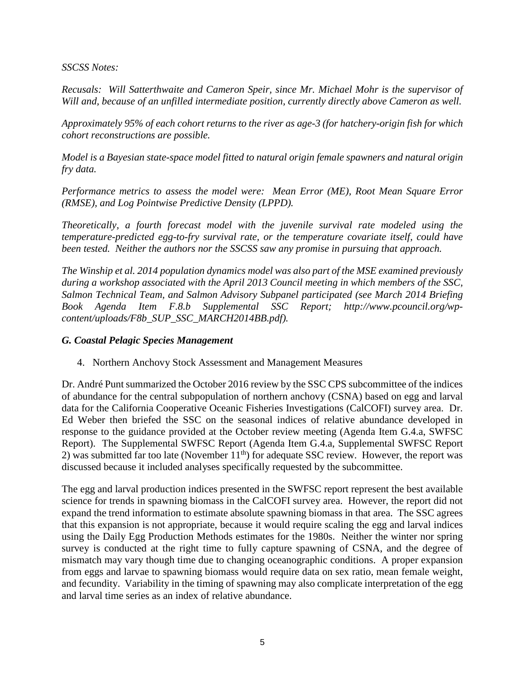#### *SSCSS Notes:*

*Recusals: Will Satterthwaite and Cameron Speir, since Mr. Michael Mohr is the supervisor of Will and, because of an unfilled intermediate position, currently directly above Cameron as well.* 

*Approximately 95% of each cohort returns to the river as age-3 (for hatchery-origin fish for which cohort reconstructions are possible.*

*Model is a Bayesian state-space model fitted to natural origin female spawners and natural origin fry data.*

*Performance metrics to assess the model were: Mean Error (ME), Root Mean Square Error (RMSE), and Log Pointwise Predictive Density (LPPD).* 

*Theoretically, a fourth forecast model with the juvenile survival rate modeled using the temperature-predicted egg-to-fry survival rate, or the temperature covariate itself, could have been tested. Neither the authors nor the SSCSS saw any promise in pursuing that approach.*

*The Winship et al. 2014 population dynamics model was also part of the MSE examined previously during a workshop associated with the April 2013 Council meeting in which members of the SSC, Salmon Technical Team, and Salmon Advisory Subpanel participated (see March 2014 Briefing Book Agenda Item F.8.b Supplemental SSC Report; http://www.pcouncil.org/wpcontent/uploads/F8b\_SUP\_SSC\_MARCH2014BB.pdf).*

#### *G. Coastal Pelagic Species Management*

4. Northern Anchovy Stock Assessment and Management Measures

Dr. André Punt summarized the October 2016 review by the SSC CPS subcommittee of the indices of abundance for the central subpopulation of northern anchovy (CSNA) based on egg and larval data for the California Cooperative Oceanic Fisheries Investigations (CalCOFI) survey area. Dr. Ed Weber then briefed the SSC on the seasonal indices of relative abundance developed in response to the guidance provided at the October review meeting (Agenda Item G.4.a, SWFSC Report). The Supplemental SWFSC Report (Agenda Item G.4.a, Supplemental SWFSC Report 2) was submitted far too late (November  $11<sup>th</sup>$ ) for adequate SSC review. However, the report was discussed because it included analyses specifically requested by the subcommittee.

The egg and larval production indices presented in the SWFSC report represent the best available science for trends in spawning biomass in the CalCOFI survey area. However, the report did not expand the trend information to estimate absolute spawning biomass in that area. The SSC agrees that this expansion is not appropriate, because it would require scaling the egg and larval indices using the Daily Egg Production Methods estimates for the 1980s. Neither the winter nor spring survey is conducted at the right time to fully capture spawning of CSNA, and the degree of mismatch may vary though time due to changing oceanographic conditions. A proper expansion from eggs and larvae to spawning biomass would require data on sex ratio, mean female weight, and fecundity. Variability in the timing of spawning may also complicate interpretation of the egg and larval time series as an index of relative abundance.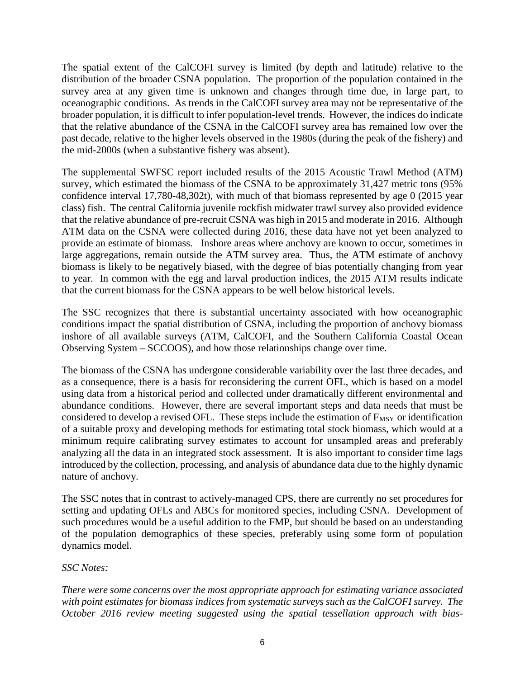The spatial extent of the CalCOFI survey is limited (by depth and latitude) relative to the distribution of the broader CSNA population. The proportion of the population contained in the survey area at any given time is unknown and changes through time due, in large part, to oceanographic conditions. As trends in the CalCOFI survey area may not be representative of the broader population, it is difficult to infer population-level trends. However, the indices do indicate that the relative abundance of the CSNA in the CalCOFI survey area has remained low over the past decade, relative to the higher levels observed in the 1980s (during the peak of the fishery) and the mid-2000s (when a substantive fishery was absent).

The supplemental SWFSC report included results of the 2015 Acoustic Trawl Method (ATM) survey, which estimated the biomass of the CSNA to be approximately 31,427 metric tons (95% confidence interval 17,780-48,302t), with much of that biomass represented by age 0 (2015 year class) fish. The central California juvenile rockfish midwater trawl survey also provided evidence that the relative abundance of pre-recruit CSNA was high in 2015 and moderate in 2016. Although ATM data on the CSNA were collected during 2016, these data have not yet been analyzed to provide an estimate of biomass. Inshore areas where anchovy are known to occur, sometimes in large aggregations, remain outside the ATM survey area. Thus, the ATM estimate of anchovy biomass is likely to be negatively biased, with the degree of bias potentially changing from year to year. In common with the egg and larval production indices, the 2015 ATM results indicate that the current biomass for the CSNA appears to be well below historical levels.

The SSC recognizes that there is substantial uncertainty associated with how oceanographic conditions impact the spatial distribution of CSNA, including the proportion of anchovy biomass inshore of all available surveys (ATM, CalCOFI, and the Southern California Coastal Ocean Observing System – SCCOOS), and how those relationships change over time.

The biomass of the CSNA has undergone considerable variability over the last three decades, and as a consequence, there is a basis for reconsidering the current OFL, which is based on a model using data from a historical period and collected under dramatically different environmental and abundance conditions. However, there are several important steps and data needs that must be considered to develop a revised OFL. These steps include the estimation of  $F_{MSY}$  or identification of a suitable proxy and developing methods for estimating total stock biomass, which would at a minimum require calibrating survey estimates to account for unsampled areas and preferably analyzing all the data in an integrated stock assessment. It is also important to consider time lags introduced by the collection, processing, and analysis of abundance data due to the highly dynamic nature of anchovy.

The SSC notes that in contrast to actively-managed CPS, there are currently no set procedures for setting and updating OFLs and ABCs for monitored species, including CSNA. Development of such procedures would be a useful addition to the FMP, but should be based on an understanding of the population demographics of these species, preferably using some form of population dynamics model.

# *SSC Notes:*

*There were some concerns over the most appropriate approach for estimating variance associated with point estimates for biomass indices from systematic surveys such as the CalCOFI survey. The October 2016 review meeting suggested using the spatial tessellation approach with bias-*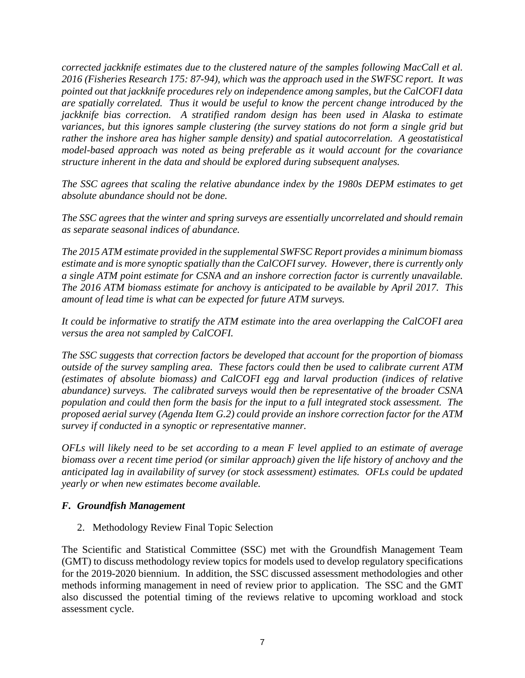*corrected jackknife estimates due to the clustered nature of the samples following MacCall et al. 2016 (Fisheries Research 175: 87-94), which was the approach used in the SWFSC report. It was pointed out that jackknife procedures rely on independence among samples, but the CalCOFI data are spatially correlated. Thus it would be useful to know the percent change introduced by the jackknife bias correction.* A stratified random design has been used in Alaska to estimate *variances, but this ignores sample clustering (the survey stations do not form a single grid but rather the inshore area has higher sample density) and spatial autocorrelation. A geostatistical model-based approach was noted as being preferable as it would account for the covariance structure inherent in the data and should be explored during subsequent analyses.* 

*The SSC agrees that scaling the relative abundance index by the 1980s DEPM estimates to get absolute abundance should not be done.*

*The SSC agrees that the winter and spring surveys are essentially uncorrelated and should remain as separate seasonal indices of abundance.* 

*The 2015 ATM estimate provided in the supplemental SWFSC Report provides a minimum biomass estimate and is more synoptic spatially than the CalCOFI survey. However, there is currently only a single ATM point estimate for CSNA and an inshore correction factor is currently unavailable. The 2016 ATM biomass estimate for anchovy is anticipated to be available by April 2017. This amount of lead time is what can be expected for future ATM surveys.* 

*It could be informative to stratify the ATM estimate into the area overlapping the CalCOFI area versus the area not sampled by CalCOFI.*

*The SSC suggests that correction factors be developed that account for the proportion of biomass outside of the survey sampling area. These factors could then be used to calibrate current ATM (estimates of absolute biomass) and CalCOFI egg and larval production (indices of relative abundance) surveys. The calibrated surveys would then be representative of the broader CSNA population and could then form the basis for the input to a full integrated stock assessment. The proposed aerial survey (Agenda Item G.2) could provide an inshore correction factor for the ATM survey if conducted in a synoptic or representative manner.*

*OFLs will likely need to be set according to a mean F level applied to an estimate of average biomass over a recent time period (or similar approach) given the life history of anchovy and the anticipated lag in availability of survey (or stock assessment) estimates. OFLs could be updated yearly or when new estimates become available.*

#### *F. Groundfish Management*

2. Methodology Review Final Topic Selection

The Scientific and Statistical Committee (SSC) met with the Groundfish Management Team (GMT) to discuss methodology review topics for models used to develop regulatory specifications for the 2019-2020 biennium. In addition, the SSC discussed assessment methodologies and other methods informing management in need of review prior to application. The SSC and the GMT also discussed the potential timing of the reviews relative to upcoming workload and stock assessment cycle.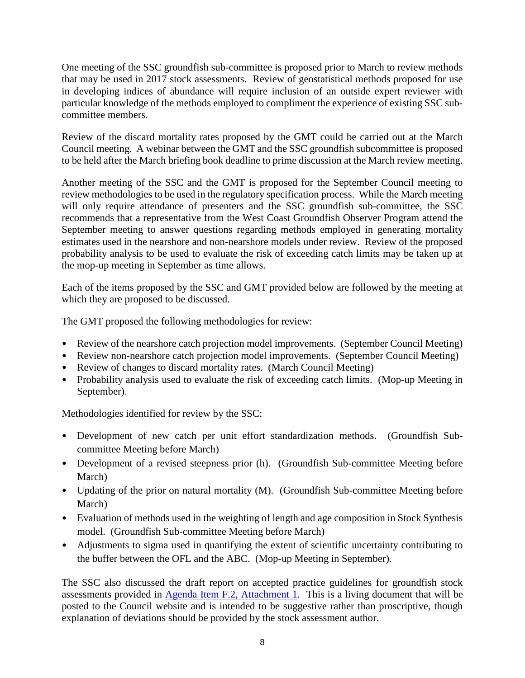One meeting of the SSC groundfish sub-committee is proposed prior to March to review methods that may be used in 2017 stock assessments. Review of geostatistical methods proposed for use in developing indices of abundance will require inclusion of an outside expert reviewer with particular knowledge of the methods employed to compliment the experience of existing SSC subcommittee members.

Review of the discard mortality rates proposed by the GMT could be carried out at the March Council meeting. A webinar between the GMT and the SSC groundfish subcommittee is proposed to be held after the March briefing book deadline to prime discussion at the March review meeting.

Another meeting of the SSC and the GMT is proposed for the September Council meeting to review methodologies to be used in the regulatory specification process. While the March meeting will only require attendance of presenters and the SSC groundfish sub-committee, the SSC recommends that a representative from the West Coast Groundfish Observer Program attend the September meeting to answer questions regarding methods employed in generating mortality estimates used in the nearshore and non-nearshore models under review. Review of the proposed probability analysis to be used to evaluate the risk of exceeding catch limits may be taken up at the mop-up meeting in September as time allows.

Each of the items proposed by the SSC and GMT provided below are followed by the meeting at which they are proposed to be discussed.

The GMT proposed the following methodologies for review:

- Review of the nearshore catch projection model improvements. (September Council Meeting)
- Review non-nearshore catch projection model improvements. (September Council Meeting)
- Review of changes to discard mortality rates. (March Council Meeting)
- Probability analysis used to evaluate the risk of exceeding catch limits. (Mop-up Meeting in September).

Methodologies identified for review by the SSC:

- Development of new catch per unit effort standardization methods. (Groundfish Subcommittee Meeting before March)
- Development of a revised steepness prior (h). (Groundfish Sub-committee Meeting before March)
- Updating of the prior on natural mortality (M). (Groundfish Sub-committee Meeting before March)
- Evaluation of methods used in the weighting of length and age composition in Stock Synthesis model. (Groundfish Sub-committee Meeting before March)
- Adjustments to sigma used in quantifying the extent of scientific uncertainty contributing to the buffer between the OFL and the ABC. (Mop-up Meeting in September).

The SSC also discussed the draft report on accepted practice guidelines for groundfish stock assessments provided in [Agenda Item F.2, Attachment 1.](http://www.pcouncil.org/wp-content/uploads/2016/10/F2_Att1_AcceptedPracticesGuidelines_Draft_NOV2016BB.pdf) This is a living document that will be posted to the Council website and is intended to be suggestive rather than proscriptive, though explanation of deviations should be provided by the stock assessment author.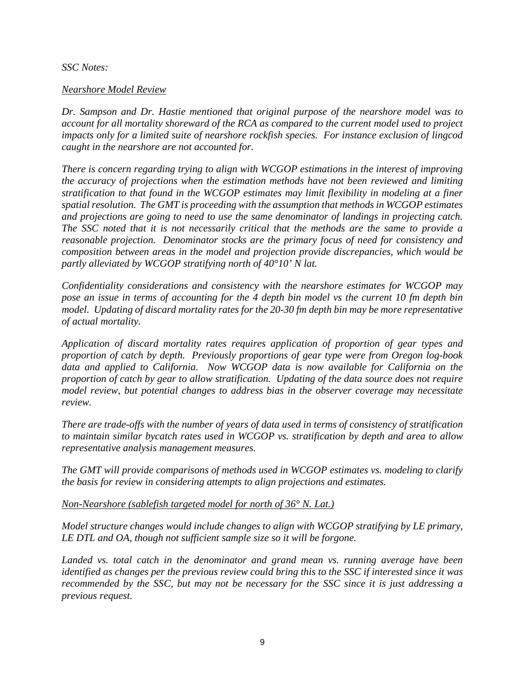#### *SSC Notes:*

#### *Nearshore Model Review*

*Dr. Sampson and Dr. Hastie mentioned that original purpose of the nearshore model was to account for all mortality shoreward of the RCA as compared to the current model used to project impacts only for a limited suite of nearshore rockfish species. For instance exclusion of lingcod caught in the nearshore are not accounted for.* 

*There is concern regarding trying to align with WCGOP estimations in the interest of improving the accuracy of projections when the estimation methods have not been reviewed and limiting stratification to that found in the WCGOP estimates may limit flexibility in modeling at a finer spatial resolution. The GMT is proceeding with the assumption that methods in WCGOP estimates and projections are going to need to use the same denominator of landings in projecting catch. The SSC noted that it is not necessarily critical that the methods are the same to provide a reasonable projection. Denominator stocks are the primary focus of need for consistency and composition between areas in the model and projection provide discrepancies, which would be partly alleviated by WCGOP stratifying north of 40°10' N lat.*

*Confidentiality considerations and consistency with the nearshore estimates for WCGOP may pose an issue in terms of accounting for the 4 depth bin model vs the current 10 fm depth bin model. Updating of discard mortality rates for the 20-30 fm depth bin may be more representative of actual mortality.* 

*Application of discard mortality rates requires application of proportion of gear types and proportion of catch by depth. Previously proportions of gear type were from Oregon log-book data and applied to California. Now WCGOP data is now available for California on the proportion of catch by gear to allow stratification. Updating of the data source does not require model review, but potential changes to address bias in the observer coverage may necessitate review.*

*There are trade-offs with the number of years of data used in terms of consistency of stratification to maintain similar bycatch rates used in WCGOP vs. stratification by depth and area to allow representative analysis management measures.* 

*The GMT will provide comparisons of methods used in WCGOP estimates vs. modeling to clarify the basis for review in considering attempts to align projections and estimates.*

*Non-Nearshore (sablefish targeted model for north of 36° N. Lat.)* 

*Model structure changes would include changes to align with WCGOP stratifying by LE primary, LE DTL and OA, though not sufficient sample size so it will be forgone.*

*Landed vs. total catch in the denominator and grand mean vs. running average have been identified as changes per the previous review could bring this to the SSC if interested since it was recommended by the SSC, but may not be necessary for the SSC since it is just addressing a previous request.*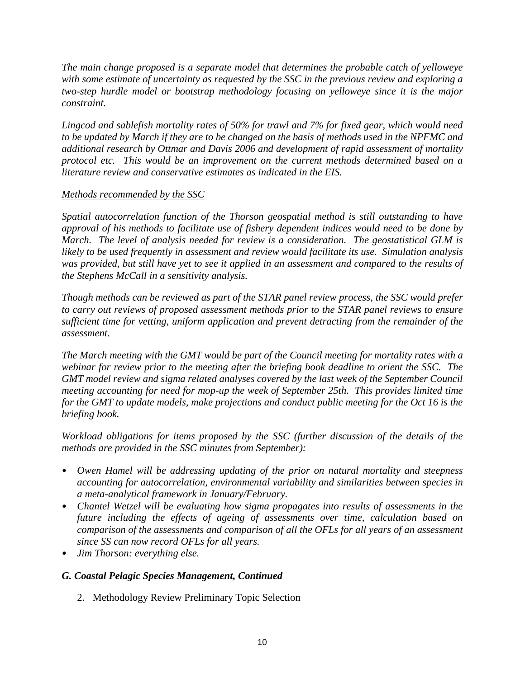*The main change proposed is a separate model that determines the probable catch of yelloweye with some estimate of uncertainty as requested by the SSC in the previous review and exploring a two-step hurdle model or bootstrap methodology focusing on yelloweye since it is the major constraint.*

*Lingcod and sablefish mortality rates of 50% for trawl and 7% for fixed gear, which would need to be updated by March if they are to be changed on the basis of methods used in the NPFMC and additional research by Ottmar and Davis 2006 and development of rapid assessment of mortality protocol etc. This would be an improvement on the current methods determined based on a literature review and conservative estimates as indicated in the EIS.*

# *Methods recommended by the SSC*

*Spatial autocorrelation function of the Thorson geospatial method is still outstanding to have approval of his methods to facilitate use of fishery dependent indices would need to be done by March. The level of analysis needed for review is a consideration. The geostatistical GLM is likely to be used frequently in assessment and review would facilitate its use. Simulation analysis was provided, but still have yet to see it applied in an assessment and compared to the results of the Stephens McCall in a sensitivity analysis.* 

*Though methods can be reviewed as part of the STAR panel review process, the SSC would prefer to carry out reviews of proposed assessment methods prior to the STAR panel reviews to ensure sufficient time for vetting, uniform application and prevent detracting from the remainder of the assessment.* 

*The March meeting with the GMT would be part of the Council meeting for mortality rates with a webinar for review prior to the meeting after the briefing book deadline to orient the SSC. The GMT model review and sigma related analyses covered by the last week of the September Council meeting accounting for need for mop-up the week of September 25th. This provides limited time*  for the GMT to update models, make projections and conduct public meeting for the Oct 16 is the *briefing book.*

*Workload obligations for items proposed by the SSC (further discussion of the details of the methods are provided in the SSC minutes from September):*

- *Owen Hamel will be addressing updating of the prior on natural mortality and steepness accounting for autocorrelation, environmental variability and similarities between species in a meta-analytical framework in January/February.*
- *Chantel Wetzel will be evaluating how sigma propagates into results of assessments in the future including the effects of ageing of assessments over time, calculation based on comparison of the assessments and comparison of all the OFLs for all years of an assessment since SS can now record OFLs for all years.*
- *Jim Thorson: everything else.*

# *G. Coastal Pelagic Species Management, Continued*

2. Methodology Review Preliminary Topic Selection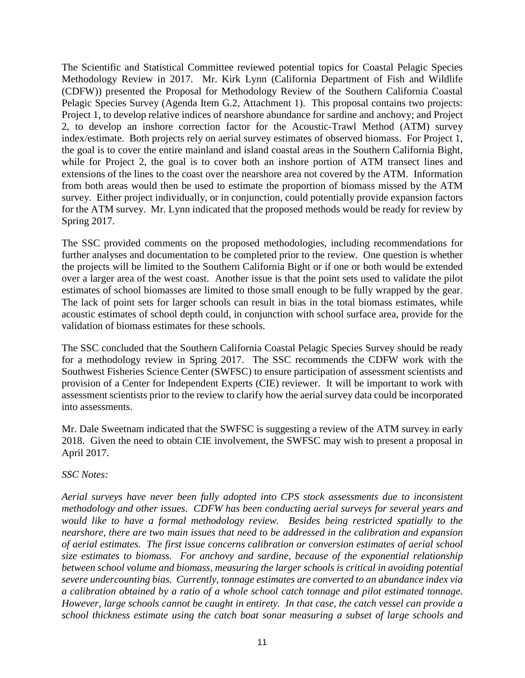The Scientific and Statistical Committee reviewed potential topics for Coastal Pelagic Species Methodology Review in 2017. Mr. Kirk Lynn (California Department of Fish and Wildlife (CDFW)) presented the Proposal for Methodology Review of the Southern California Coastal Pelagic Species Survey (Agenda Item G.2, Attachment 1). This proposal contains two projects: Project 1, to develop relative indices of nearshore abundance for sardine and anchovy; and Project 2, to develop an inshore correction factor for the Acoustic-Trawl Method (ATM) survey index/estimate. Both projects rely on aerial survey estimates of observed biomass. For Project 1, the goal is to cover the entire mainland and island coastal areas in the Southern California Bight, while for Project 2, the goal is to cover both an inshore portion of ATM transect lines and extensions of the lines to the coast over the nearshore area not covered by the ATM. Information from both areas would then be used to estimate the proportion of biomass missed by the ATM survey. Either project individually, or in conjunction, could potentially provide expansion factors for the ATM survey. Mr. Lynn indicated that the proposed methods would be ready for review by Spring 2017.

The SSC provided comments on the proposed methodologies, including recommendations for further analyses and documentation to be completed prior to the review. One question is whether the projects will be limited to the Southern California Bight or if one or both would be extended over a larger area of the west coast. Another issue is that the point sets used to validate the pilot estimates of school biomasses are limited to those small enough to be fully wrapped by the gear. The lack of point sets for larger schools can result in bias in the total biomass estimates, while acoustic estimates of school depth could, in conjunction with school surface area, provide for the validation of biomass estimates for these schools.

The SSC concluded that the Southern California Coastal Pelagic Species Survey should be ready for a methodology review in Spring 2017. The SSC recommends the CDFW work with the Southwest Fisheries Science Center (SWFSC) to ensure participation of assessment scientists and provision of a Center for Independent Experts (CIE) reviewer. It will be important to work with assessment scientists prior to the review to clarify how the aerial survey data could be incorporated into assessments.

Mr. Dale Sweetnam indicated that the SWFSC is suggesting a review of the ATM survey in early 2018. Given the need to obtain CIE involvement, the SWFSC may wish to present a proposal in April 2017.

# *SSC Notes:*

*Aerial surveys have never been fully adopted into CPS stock assessments due to inconsistent methodology and other issues. CDFW has been conducting aerial surveys for several years and would like to have a formal methodology review. Besides being restricted spatially to the nearshore, there are two main issues that need to be addressed in the calibration and expansion of aerial estimates. The first issue concerns calibration or conversion estimates of aerial school size estimates to biomass. For anchovy and sardine, because of the exponential relationship between school volume and biomass, measuring the larger schools is critical in avoiding potential severe undercounting bias. Currently, tonnage estimates are converted to an abundance index via a calibration obtained by a ratio of a whole school catch tonnage and pilot estimated tonnage. However, large schools cannot be caught in entirety. In that case, the catch vessel can provide a school thickness estimate using the catch boat sonar measuring a subset of large schools and*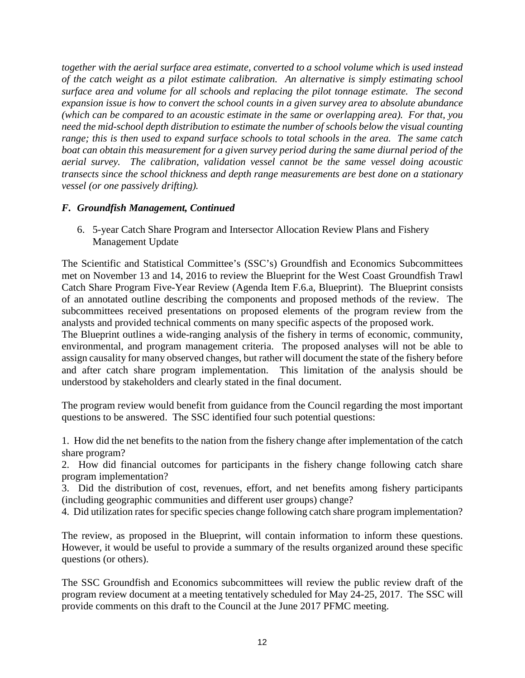*together with the aerial surface area estimate, converted to a school volume which is used instead of the catch weight as a pilot estimate calibration. An alternative is simply estimating school surface area and volume for all schools and replacing the pilot tonnage estimate. The second expansion issue is how to convert the school counts in a given survey area to absolute abundance (which can be compared to an acoustic estimate in the same or overlapping area). For that, you need the mid-school depth distribution to estimate the number of schools below the visual counting range; this is then used to expand surface schools to total schools in the area. The same catch boat can obtain this measurement for a given survey period during the same diurnal period of the aerial survey. The calibration, validation vessel cannot be the same vessel doing acoustic transects since the school thickness and depth range measurements are best done on a stationary vessel (or one passively drifting).*

### *F. Groundfish Management, Continued*

6. 5-year Catch Share Program and Intersector Allocation Review Plans and Fishery Management Update

The Scientific and Statistical Committee's (SSC's) Groundfish and Economics Subcommittees met on November 13 and 14, 2016 to review the Blueprint for the West Coast Groundfish Trawl Catch Share Program Five-Year Review (Agenda Item F.6.a, Blueprint). The Blueprint consists of an annotated outline describing the components and proposed methods of the review. The subcommittees received presentations on proposed elements of the program review from the analysts and provided technical comments on many specific aspects of the proposed work.

The Blueprint outlines a wide-ranging analysis of the fishery in terms of economic, community, environmental, and program management criteria. The proposed analyses will not be able to assign causality for many observed changes, but rather will document the state of the fishery before and after catch share program implementation. This limitation of the analysis should be understood by stakeholders and clearly stated in the final document.

The program review would benefit from guidance from the Council regarding the most important questions to be answered. The SSC identified four such potential questions:

1. How did the net benefits to the nation from the fishery change after implementation of the catch share program?

2. How did financial outcomes for participants in the fishery change following catch share program implementation?

3. Did the distribution of cost, revenues, effort, and net benefits among fishery participants (including geographic communities and different user groups) change?

4. Did utilization rates for specific species change following catch share program implementation?

The review, as proposed in the Blueprint, will contain information to inform these questions. However, it would be useful to provide a summary of the results organized around these specific questions (or others).

The SSC Groundfish and Economics subcommittees will review the public review draft of the program review document at a meeting tentatively scheduled for May 24-25, 2017. The SSC will provide comments on this draft to the Council at the June 2017 PFMC meeting.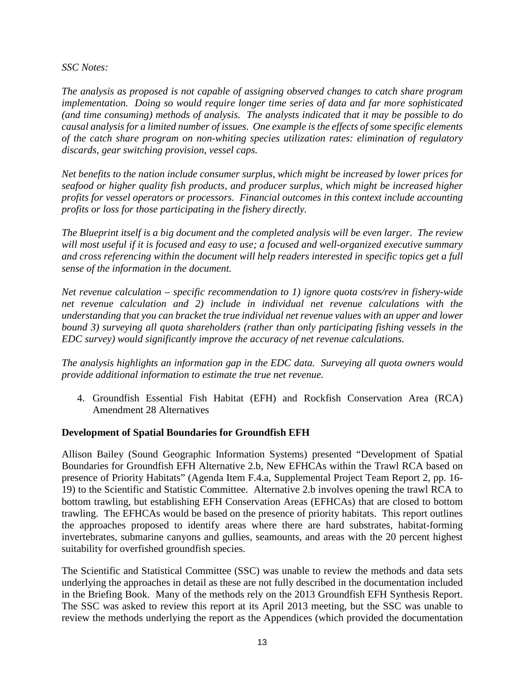*SSC Notes:*

*The analysis as proposed is not capable of assigning observed changes to catch share program implementation. Doing so would require longer time series of data and far more sophisticated (and time consuming) methods of analysis. The analysts indicated that it may be possible to do causal analysis for a limited number of issues. One example is the effects of some specific elements of the catch share program on non-whiting species utilization rates: elimination of regulatory discards, gear switching provision, vessel caps.*

*Net benefits to the nation include consumer surplus, which might be increased by lower prices for seafood or higher quality fish products, and producer surplus, which might be increased higher profits for vessel operators or processors. Financial outcomes in this context include accounting profits or loss for those participating in the fishery directly.*

*The Blueprint itself is a big document and the completed analysis will be even larger. The review will most useful if it is focused and easy to use; a focused and well-organized executive summary and cross referencing within the document will help readers interested in specific topics get a full sense of the information in the document.*

*Net revenue calculation – specific recommendation to 1) ignore quota costs/rev in fishery-wide net revenue calculation and 2) include in individual net revenue calculations with the understanding that you can bracket the true individual net revenue values with an upper and lower bound 3) surveying all quota shareholders (rather than only participating fishing vessels in the EDC survey) would significantly improve the accuracy of net revenue calculations.*

*The analysis highlights an information gap in the EDC data. Surveying all quota owners would provide additional information to estimate the true net revenue.*

4. Groundfish Essential Fish Habitat (EFH) and Rockfish Conservation Area (RCA) Amendment 28 Alternatives

#### **Development of Spatial Boundaries for Groundfish EFH**

Allison Bailey (Sound Geographic Information Systems) presented "Development of Spatial Boundaries for Groundfish EFH Alternative 2.b, New EFHCAs within the Trawl RCA based on presence of Priority Habitats" (Agenda Item F.4.a, Supplemental Project Team Report 2, pp. 16- 19) to the Scientific and Statistic Committee. Alternative 2.b involves opening the trawl RCA to bottom trawling, but establishing EFH Conservation Areas (EFHCAs) that are closed to bottom trawling. The EFHCAs would be based on the presence of priority habitats. This report outlines the approaches proposed to identify areas where there are hard substrates, habitat-forming invertebrates, submarine canyons and gullies, seamounts, and areas with the 20 percent highest suitability for overfished groundfish species.

The Scientific and Statistical Committee (SSC) was unable to review the methods and data sets underlying the approaches in detail as these are not fully described in the documentation included in the Briefing Book. Many of the methods rely on the 2013 Groundfish EFH Synthesis Report. The SSC was asked to review this report at its April 2013 meeting, but the SSC was unable to review the methods underlying the report as the Appendices (which provided the documentation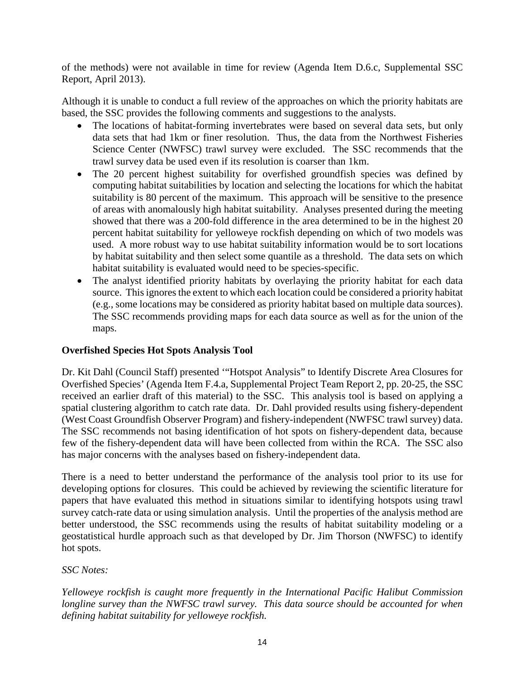of the methods) were not available in time for review (Agenda Item D.6.c, Supplemental SSC Report, April 2013).

Although it is unable to conduct a full review of the approaches on which the priority habitats are based, the SSC provides the following comments and suggestions to the analysts.

- The locations of habitat-forming invertebrates were based on several data sets, but only data sets that had 1km or finer resolution. Thus, the data from the Northwest Fisheries Science Center (NWFSC) trawl survey were excluded. The SSC recommends that the trawl survey data be used even if its resolution is coarser than 1km.
- The 20 percent highest suitability for overfished groundfish species was defined by computing habitat suitabilities by location and selecting the locations for which the habitat suitability is 80 percent of the maximum. This approach will be sensitive to the presence of areas with anomalously high habitat suitability. Analyses presented during the meeting showed that there was a 200-fold difference in the area determined to be in the highest 20 percent habitat suitability for yelloweye rockfish depending on which of two models was used. A more robust way to use habitat suitability information would be to sort locations by habitat suitability and then select some quantile as a threshold. The data sets on which habitat suitability is evaluated would need to be species-specific.
- The analyst identified priority habitats by overlaying the priority habitat for each data source. This ignores the extent to which each location could be considered a priority habitat (e.g., some locations may be considered as priority habitat based on multiple data sources). The SSC recommends providing maps for each data source as well as for the union of the maps.

# **Overfished Species Hot Spots Analysis Tool**

Dr. Kit Dahl (Council Staff) presented '"Hotspot Analysis" to Identify Discrete Area Closures for Overfished Species' (Agenda Item F.4.a, Supplemental Project Team Report 2, pp. 20-25, the SSC received an earlier draft of this material) to the SSC. This analysis tool is based on applying a spatial clustering algorithm to catch rate data. Dr. Dahl provided results using fishery-dependent (West Coast Groundfish Observer Program) and fishery-independent (NWFSC trawl survey) data. The SSC recommends not basing identification of hot spots on fishery-dependent data, because few of the fishery-dependent data will have been collected from within the RCA. The SSC also has major concerns with the analyses based on fishery-independent data.

There is a need to better understand the performance of the analysis tool prior to its use for developing options for closures. This could be achieved by reviewing the scientific literature for papers that have evaluated this method in situations similar to identifying hotspots using trawl survey catch-rate data or using simulation analysis. Until the properties of the analysis method are better understood, the SSC recommends using the results of habitat suitability modeling or a geostatistical hurdle approach such as that developed by Dr. Jim Thorson (NWFSC) to identify hot spots.

# *SSC Notes:*

*Yelloweye rockfish is caught more frequently in the International Pacific Halibut Commission longline survey than the NWFSC trawl survey. This data source should be accounted for when defining habitat suitability for yelloweye rockfish.*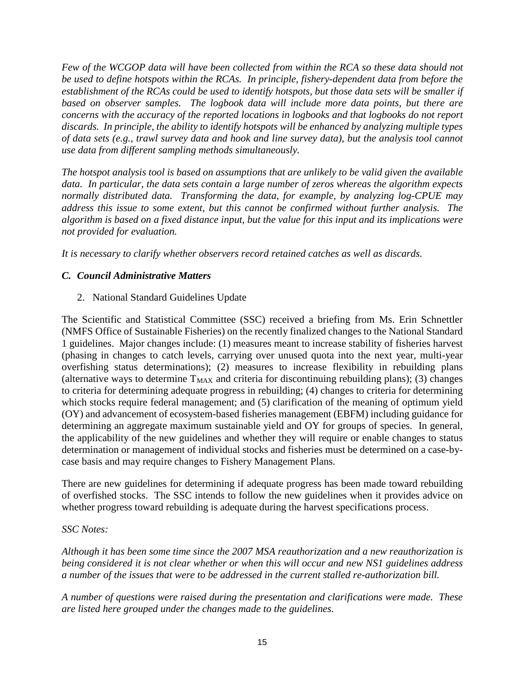*Few of the WCGOP data will have been collected from within the RCA so these data should not be used to define hotspots within the RCAs. In principle, fishery-dependent data from before the establishment of the RCAs could be used to identify hotspots, but those data sets will be smaller if based on observer samples. The logbook data will include more data points, but there are concerns with the accuracy of the reported locations in logbooks and that logbooks do not report discards. In principle, the ability to identify hotspots will be enhanced by analyzing multiple types of data sets (e.g., trawl survey data and hook and line survey data), but the analysis tool cannot use data from different sampling methods simultaneously.*

*The hotspot analysis tool is based on assumptions that are unlikely to be valid given the available data. In particular, the data sets contain a large number of zeros whereas the algorithm expects normally distributed data. Transforming the data, for example, by analyzing log-CPUE may address this issue to some extent, but this cannot be confirmed without further analysis. The algorithm is based on a fixed distance input, but the value for this input and its implications were not provided for evaluation.*

*It is necessary to clarify whether observers record retained catches as well as discards.*

# *C. Council Administrative Matters*

# 2. National Standard Guidelines Update

The Scientific and Statistical Committee (SSC) received a briefing from Ms. Erin Schnettler (NMFS Office of Sustainable Fisheries) on the recently finalized changes to the National Standard 1 guidelines. Major changes include: (1) measures meant to increase stability of fisheries harvest (phasing in changes to catch levels, carrying over unused quota into the next year, multi-year overfishing status determinations); (2) measures to increase flexibility in rebuilding plans (alternative ways to determine  $T_{MAX}$  and criteria for discontinuing rebuilding plans); (3) changes to criteria for determining adequate progress in rebuilding; (4) changes to criteria for determining which stocks require federal management; and (5) clarification of the meaning of optimum yield (OY) and advancement of ecosystem-based fisheries management (EBFM) including guidance for determining an aggregate maximum sustainable yield and OY for groups of species. In general, the applicability of the new guidelines and whether they will require or enable changes to status determination or management of individual stocks and fisheries must be determined on a case-bycase basis and may require changes to Fishery Management Plans.

There are new guidelines for determining if adequate progress has been made toward rebuilding of overfished stocks. The SSC intends to follow the new guidelines when it provides advice on whether progress toward rebuilding is adequate during the harvest specifications process.

# *SSC Notes:*

*Although it has been some time since the 2007 MSA reauthorization and a new reauthorization is being considered it is not clear whether or when this will occur and new NS1 guidelines address a number of the issues that were to be addressed in the current stalled re-authorization bill.* 

*A number of questions were raised during the presentation and clarifications were made. These are listed here grouped under the changes made to the guidelines.*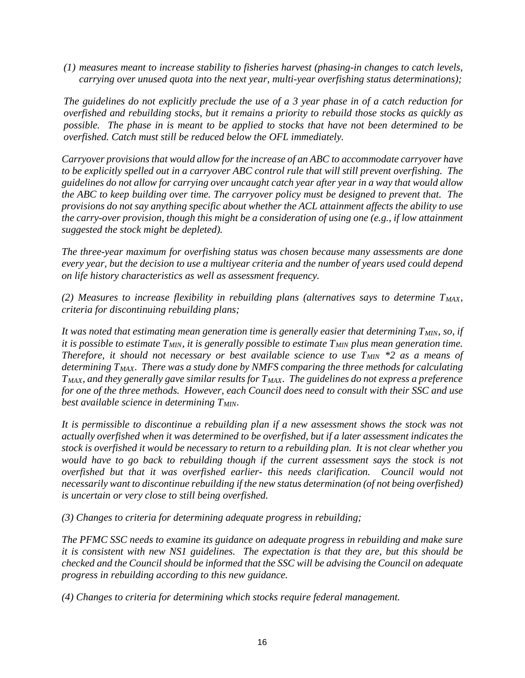*(1) measures meant to increase stability to fisheries harvest (phasing-in changes to catch levels, carrying over unused quota into the next year, multi-year overfishing status determinations);* 

*The guidelines do not explicitly preclude the use of a 3 year phase in of a catch reduction for overfished and rebuilding stocks, but it remains a priority to rebuild those stocks as quickly as possible. The phase in is meant to be applied to stocks that have not been determined to be overfished. Catch must still be reduced below the OFL immediately.*

*Carryover provisions that would allow for the increase of an ABC to accommodate carryover have to be explicitly spelled out in a carryover ABC control rule that will still prevent overfishing. The guidelines do not allow for carrying over uncaught catch year after year in a way that would allow the ABC to keep building over time. The carryover policy must be designed to prevent that. The provisions do not say anything specific about whether the ACL attainment affects the ability to use the carry-over provision, though this might be a consideration of using one (e.g., if low attainment suggested the stock might be depleted).*

*The three-year maximum for overfishing status was chosen because many assessments are done every year, but the decision to use a multiyear criteria and the number of years used could depend on life history characteristics as well as assessment frequency.*

*(2) Measures to increase flexibility in rebuilding plans (alternatives says to determine TMAX, criteria for discontinuing rebuilding plans;* 

It was noted that estimating mean generation time is generally easier that determining  $T_{MIN}$ , so, if *it is possible to estimate*  $T<sub>MIN</sub>$ *, it is generally possible to estimate*  $T<sub>MIN</sub>$  *plus mean generation time. Therefore, it should not necessary or best available science to use T<sub>MIN</sub> \*2 as a means of determining TMAX. There was a study done by NMFS comparing the three methods for calculating*   $T<sub>MAX</sub>$ , and they generally gave similar results for  $T<sub>MAX</sub>$ . The guidelines do not express a preference *for one of the three methods. However, each Council does need to consult with their SSC and use best available science in determining T<sub>MIN</sub>.* 

*It is permissible to discontinue a rebuilding plan if a new assessment shows the stock was not actually overfished when it was determined to be overfished, but if a later assessment indicates the stock is overfished it would be necessary to return to a rebuilding plan. It is not clear whether you would have to go back to rebuilding though if the current assessment says the stock is not overfished but that it was overfished earlier- this needs clarification. Council would not necessarily want to discontinue rebuilding if the new status determination (of not being ov*e*rfished) is uncertain or very close to still being overfished.*

*(3) Changes to criteria for determining adequate progress in rebuilding;* 

*The PFMC SSC needs to examine its guidance on adequate progress in rebuilding and make sure it is consistent with new NS1 guidelines. The expectation is that they are, but this should be checked and the Council should be informed that the SSC will be advising the Council on adequate progress in rebuilding according to this new guidance.*

*(4) Changes to criteria for determining which stocks require federal management.*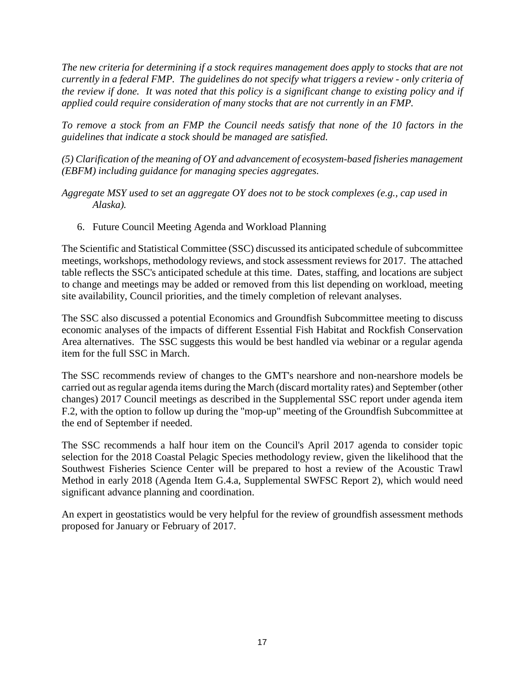*The new criteria for determining if a stock requires management does apply to stocks that are not currently in a federal FMP. The guidelines do not specify what triggers a review - only criteria of the review if done. It was noted that this policy is a significant change to existing policy and if applied could require consideration of many stocks that are not currently in an FMP.*

*To remove a stock from an FMP the Council needs satisfy that none of the 10 factors in the guidelines that indicate a stock should be managed are satisfied.* 

*(5) Clarification of the meaning of OY and advancement of ecosystem-based fisheries management (EBFM) including guidance for managing species aggregates.*

*Aggregate MSY used to set an aggregate OY does not to be stock complexes (e.g., cap used in Alaska).*

6. Future Council Meeting Agenda and Workload Planning

The Scientific and Statistical Committee (SSC) discussed its anticipated schedule of subcommittee meetings, workshops, methodology reviews, and stock assessment reviews for 2017. The attached table reflects the SSC's anticipated schedule at this time. Dates, staffing, and locations are subject to change and meetings may be added or removed from this list depending on workload, meeting site availability, Council priorities, and the timely completion of relevant analyses.

The SSC also discussed a potential Economics and Groundfish Subcommittee meeting to discuss economic analyses of the impacts of different Essential Fish Habitat and Rockfish Conservation Area alternatives. The SSC suggests this would be best handled via webinar or a regular agenda item for the full SSC in March.

The SSC recommends review of changes to the GMT's nearshore and non-nearshore models be carried out as regular agenda items during the March (discard mortality rates) and September (other changes) 2017 Council meetings as described in the Supplemental SSC report under agenda item F.2, with the option to follow up during the "mop-up" meeting of the Groundfish Subcommittee at the end of September if needed.

The SSC recommends a half hour item on the Council's April 2017 agenda to consider topic selection for the 2018 Coastal Pelagic Species methodology review, given the likelihood that the Southwest Fisheries Science Center will be prepared to host a review of the Acoustic Trawl Method in early 2018 (Agenda Item G.4.a, Supplemental SWFSC Report 2), which would need significant advance planning and coordination.

An expert in geostatistics would be very helpful for the review of groundfish assessment methods proposed for January or February of 2017.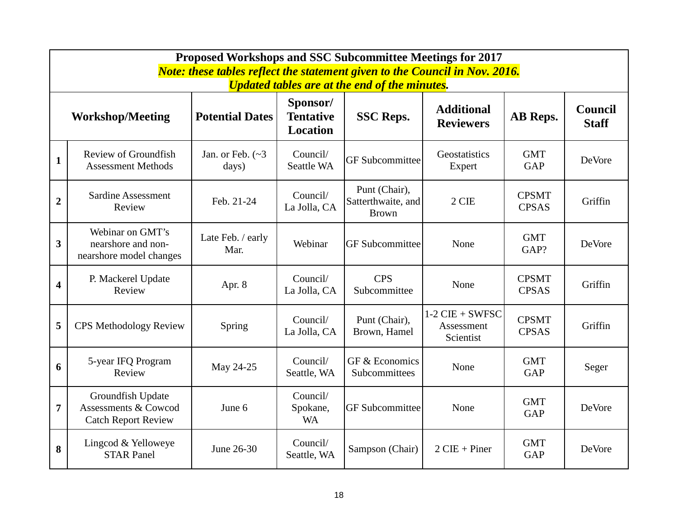|                         | Proposed Workshops and SSC Subcommittee Meetings for 2017<br><b>Note: these tables reflect the statement given to the Council in Nov. 2016.</b><br><b>Updated tables are at the end of the minutes.</b>  |                                  |                                   |                                                     |                                              |                              |         |  |  |  |
|-------------------------|----------------------------------------------------------------------------------------------------------------------------------------------------------------------------------------------------------|----------------------------------|-----------------------------------|-----------------------------------------------------|----------------------------------------------|------------------------------|---------|--|--|--|
|                         | Sponsor/<br><b>Additional</b><br><b>Council</b><br><b>Potential Dates</b><br><b>Tentative</b><br><b>SSC Reps.</b><br><b>Workshop/Meeting</b><br>AB Reps.<br><b>Reviewers</b><br><b>Staff</b><br>Location |                                  |                                   |                                                     |                                              |                              |         |  |  |  |
| $\mathbf{1}$            | Review of Groundfish<br><b>Assessment Methods</b>                                                                                                                                                        | Jan. or Feb. $(\sim 3)$<br>days) | Council/<br><b>Seattle WA</b>     | <b>GF</b> Subcommittee                              | Geostatistics<br>Expert                      | <b>GMT</b><br><b>GAP</b>     | DeVore  |  |  |  |
| $\overline{2}$          | <b>Sardine Assessment</b><br>Review                                                                                                                                                                      | Feb. 21-24                       | Council/<br>La Jolla, CA          | Punt (Chair),<br>Satterthwaite, and<br><b>Brown</b> | 2 CIE                                        | <b>CPSMT</b><br><b>CPSAS</b> | Griffin |  |  |  |
| $\overline{\mathbf{3}}$ | Webinar on GMT's<br>nearshore and non-<br>nearshore model changes                                                                                                                                        | Late Feb. / early<br>Mar.        | Webinar                           | <b>GF</b> Subcommittee                              | None                                         | <b>GMT</b><br>GAP?           | DeVore  |  |  |  |
| $\overline{\mathbf{4}}$ | P. Mackerel Update<br>Review                                                                                                                                                                             | Apr. 8                           | Council/<br>La Jolla, CA          | <b>CPS</b><br>Subcommittee                          | None                                         | <b>CPSMT</b><br><b>CPSAS</b> | Griffin |  |  |  |
| 5                       | <b>CPS Methodology Review</b>                                                                                                                                                                            | Spring                           | Council/<br>La Jolla, CA          | Punt (Chair),<br>Brown, Hamel                       | $1-2$ CIE + SWFSC<br>Assessment<br>Scientist | <b>CPSMT</b><br><b>CPSAS</b> | Griffin |  |  |  |
| 6                       | 5-year IFQ Program<br>Review                                                                                                                                                                             | May 24-25                        | Council/<br>Seattle, WA           | GF & Economics<br>Subcommittees                     | None                                         | <b>GMT</b><br><b>GAP</b>     | Seger   |  |  |  |
| $\overline{7}$          | Groundfish Update<br><b>Assessments &amp; Cowcod</b><br><b>Catch Report Review</b>                                                                                                                       | June 6                           | Council/<br>Spokane,<br><b>WA</b> | <b>GF</b> Subcommittee                              | None                                         | <b>GMT</b><br><b>GAP</b>     | DeVore  |  |  |  |
| 8                       | Lingcod & Yelloweye<br><b>STAR Panel</b>                                                                                                                                                                 | June 26-30                       | Council/<br>Seattle, WA           | Sampson (Chair)                                     | $2$ CIE + Piner                              | <b>GMT</b><br><b>GAP</b>     | DeVore  |  |  |  |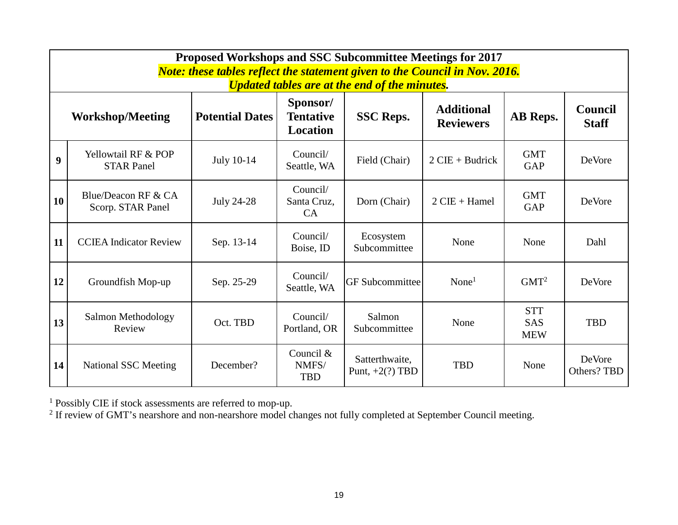|    | <b>Proposed Workshops and SSC Subcommittee Meetings for 2017</b><br><b>Note: these tables reflect the statement given to the Council in Nov. 2016.</b><br><b>Updated tables are at the end of the minutes.</b> |            |                                    |                                     |                   |                                        |                       |  |  |  |
|----|----------------------------------------------------------------------------------------------------------------------------------------------------------------------------------------------------------------|------------|------------------------------------|-------------------------------------|-------------------|----------------------------------------|-----------------------|--|--|--|
|    | Sponsor/<br><b>Additional</b><br><b>Council</b><br><b>Potential Dates</b><br><b>Tentative</b><br>AB Reps.<br><b>SSC Reps.</b><br><b>Workshop/Meeting</b><br><b>Staff</b><br><b>Reviewers</b><br>Location       |            |                                    |                                     |                   |                                        |                       |  |  |  |
| 9  | Yellowtail RF & POP<br><b>STAR Panel</b>                                                                                                                                                                       | July 10-14 | Council/<br>Seattle, WA            | Field (Chair)                       | $2$ CIE + Budrick | <b>GMT</b><br><b>GAP</b>               | DeVore                |  |  |  |
| 10 | Blue/Deacon RF & CA<br>Scorp. STAR Panel                                                                                                                                                                       | July 24-28 | Council/<br>Santa Cruz,<br>CA      | Dorn (Chair)                        | $2$ CIE + Hamel   | <b>GMT</b><br><b>GAP</b>               | DeVore                |  |  |  |
| 11 | <b>CCIEA Indicator Review</b>                                                                                                                                                                                  | Sep. 13-14 | Council/<br>Boise, ID              | Ecosystem<br>Subcommittee           | None              | None                                   | Dahl                  |  |  |  |
| 12 | Groundfish Mop-up                                                                                                                                                                                              | Sep. 25-29 | Council/<br>Seattle, WA            | <b>GF</b> Subcommittee              | None <sup>1</sup> | GMT <sup>2</sup>                       | DeVore                |  |  |  |
| 13 | Salmon Methodology<br>Review                                                                                                                                                                                   | Oct. TBD   | Council/<br>Portland, OR           | Salmon<br>Subcommittee              | None              | <b>STT</b><br><b>SAS</b><br><b>MEW</b> | <b>TBD</b>            |  |  |  |
| 14 | <b>National SSC Meeting</b>                                                                                                                                                                                    | December?  | Council $&$<br>NMFS/<br><b>TBD</b> | Satterthwaite,<br>Punt, $+2(?)$ TBD | <b>TBD</b>        | None                                   | DeVore<br>Others? TBD |  |  |  |

<sup>1</sup> Possibly CIE if stock assessments are referred to mop-up.

 $2$  If review of GMT's nearshore and non-nearshore model changes not fully completed at September Council meeting.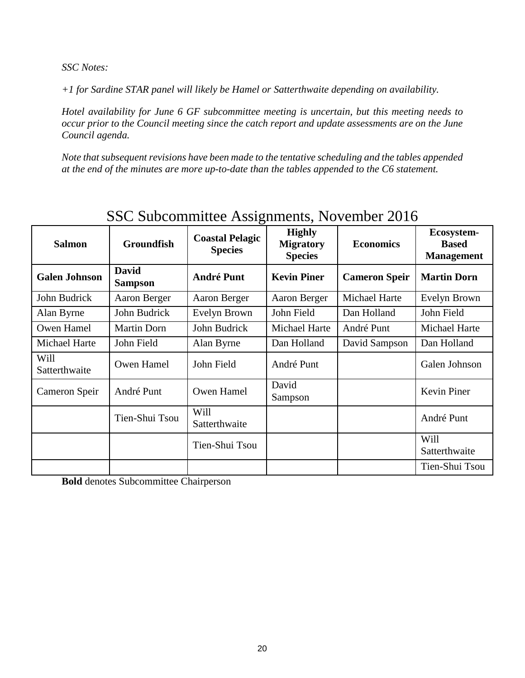*SSC Notes:*

*+1 for Sardine STAR panel will likely be Hamel or Satterthwaite depending on availability.*

*Hotel availability for June 6 GF subcommittee meeting is uncertain, but this meeting needs to occur prior to the Council meeting since the catch report and update assessments are on the June Council agenda.*

*Note that subsequent revisions have been made to the tentative scheduling and the tables appended at the end of the minutes are more up-to-date than the tables appended to the C6 statement.*

|                                    | $1000$ Duboullimities thoughthous, Two vertices 2010 |                                          |                                                     |                      |                                                 |  |  |  |
|------------------------------------|------------------------------------------------------|------------------------------------------|-----------------------------------------------------|----------------------|-------------------------------------------------|--|--|--|
| <b>Groundfish</b><br><b>Salmon</b> |                                                      | <b>Coastal Pelagic</b><br><b>Species</b> | <b>Highly</b><br><b>Migratory</b><br><b>Species</b> | <b>Economics</b>     | Ecosystem-<br><b>Based</b><br><b>Management</b> |  |  |  |
| <b>Galen Johnson</b>               | <b>David</b><br><b>Sampson</b>                       | <b>André Punt</b>                        | <b>Kevin Piner</b>                                  | <b>Cameron Speir</b> | <b>Martin Dorn</b>                              |  |  |  |
| John Budrick                       | Aaron Berger                                         | Aaron Berger                             | Aaron Berger                                        | Michael Harte        | Evelyn Brown                                    |  |  |  |
| John Budrick<br>Alan Byrne         |                                                      | Evelyn Brown                             | John Field                                          | Dan Holland          | John Field                                      |  |  |  |
| Owen Hamel                         | <b>Martin Dorn</b>                                   | John Budrick                             | Michael Harte                                       | André Punt           | Michael Harte                                   |  |  |  |
| Michael Harte                      | John Field                                           | Alan Byrne                               | Dan Holland                                         | David Sampson        | Dan Holland                                     |  |  |  |
| Will<br>Satterthwaite              | Owen Hamel                                           | John Field                               | André Punt                                          |                      | Galen Johnson                                   |  |  |  |
| Cameron Speir                      | André Punt                                           | Owen Hamel                               | David<br>Sampson                                    |                      | Kevin Piner                                     |  |  |  |
|                                    | Tien-Shui Tsou                                       | Will<br>Satterthwaite                    |                                                     |                      | André Punt                                      |  |  |  |
|                                    |                                                      | Tien-Shui Tsou                           |                                                     |                      | Will<br>Satterthwaite                           |  |  |  |
|                                    |                                                      |                                          |                                                     |                      | Tien-Shui Tsou                                  |  |  |  |

# SSC Subcommittee Assignments, November 2016

**Bold** denotes Subcommittee Chairperson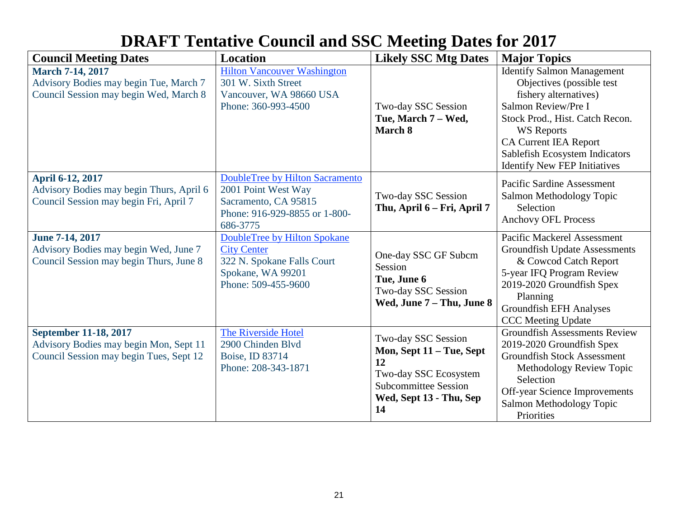| <b>DRAFT Tentative Council and SSC Meeting Dates for 2017</b> |  |
|---------------------------------------------------------------|--|
|---------------------------------------------------------------|--|

| <b>Council Meeting Dates</b>                                                                                | <b>Location</b>                                                                                                                    | <b>Likely SSC Mtg Dates</b>                                                                                                                    | <b>Major Topics</b>                                                                                                                                                                                                                                                             |
|-------------------------------------------------------------------------------------------------------------|------------------------------------------------------------------------------------------------------------------------------------|------------------------------------------------------------------------------------------------------------------------------------------------|---------------------------------------------------------------------------------------------------------------------------------------------------------------------------------------------------------------------------------------------------------------------------------|
| <b>March 7-14, 2017</b><br>Advisory Bodies may begin Tue, March 7<br>Council Session may begin Wed, March 8 | <b>Hilton Vancouver Washington</b><br>301 W. Sixth Street<br>Vancouver, WA 98660 USA<br>Phone: 360-993-4500                        | Two-day SSC Session<br>Tue, March 7 – Wed,<br>March 8                                                                                          | <b>Identify Salmon Management</b><br>Objectives (possible test<br>fishery alternatives)<br>Salmon Review/Pre I<br>Stock Prod., Hist. Catch Recon.<br><b>WS</b> Reports<br><b>CA Current IEA Report</b><br>Sablefish Ecosystem Indicators<br><b>Identify New FEP Initiatives</b> |
| April 6-12, 2017<br>Advisory Bodies may begin Thurs, April 6<br>Council Session may begin Fri, April 7      | <b>DoubleTree by Hilton Sacramento</b><br>2001 Point West Way<br>Sacramento, CA 95815<br>Phone: 916-929-8855 or 1-800-<br>686-3775 | Two-day SSC Session<br>Thu, April 6 - Fri, April 7                                                                                             | <b>Pacific Sardine Assessment</b><br>Salmon Methodology Topic<br>Selection<br><b>Anchovy OFL Process</b>                                                                                                                                                                        |
| June 7-14, 2017<br>Advisory Bodies may begin Wed, June 7<br>Council Session may begin Thurs, June 8         | DoubleTree by Hilton Spokane<br><b>City Center</b><br>322 N. Spokane Falls Court<br>Spokane, WA 99201<br>Phone: 509-455-9600       | One-day SSC GF Subcm<br>Session<br>Tue, June 6<br>Two-day SSC Session<br>Wed, June 7 - Thu, June 8                                             | Pacific Mackerel Assessment<br><b>Groundfish Update Assessments</b><br>& Cowcod Catch Report<br>5-year IFQ Program Review<br>2019-2020 Groundfish Spex<br>Planning<br><b>Groundfish EFH Analyses</b><br><b>CCC</b> Meeting Update                                               |
| September 11-18, 2017<br>Advisory Bodies may begin Mon, Sept 11<br>Council Session may begin Tues, Sept 12  | The Riverside Hotel<br>2900 Chinden Blvd<br>Boise, ID 83714<br>Phone: 208-343-1871                                                 | Two-day SSC Session<br>Mon, Sept 11 – Tue, Sept<br>12<br>Two-day SSC Ecosystem<br><b>Subcommittee Session</b><br>Wed, Sept 13 - Thu, Sep<br>14 | <b>Groundfish Assessments Review</b><br>2019-2020 Groundfish Spex<br><b>Groundfish Stock Assessment</b><br>Methodology Review Topic<br>Selection<br>Off-year Science Improvements<br>Salmon Methodology Topic<br>Priorities                                                     |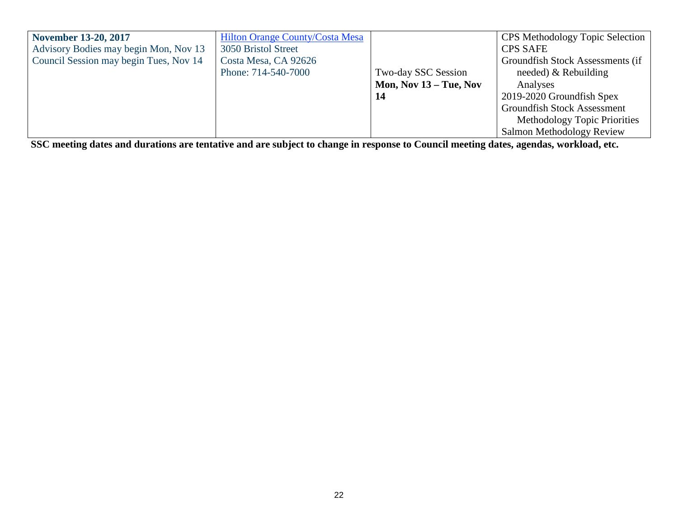| <b>November 13-20, 2017</b>            | <b>Hilton Orange County/Costa Mesa</b> |                          | <b>CPS</b> Methodology Topic Selection |
|----------------------------------------|----------------------------------------|--------------------------|----------------------------------------|
| Advisory Bodies may begin Mon, Nov 13  | 3050 Bristol Street                    |                          | <b>CPS SAFE</b>                        |
| Council Session may begin Tues, Nov 14 | Costa Mesa, CA 92626                   |                          | Groundfish Stock Assessments (if       |
|                                        | Phone: 714-540-7000                    | Two-day SSC Session      | needed) $&$ Rebuilding                 |
|                                        |                                        | Mon, Nov $13 -$ Tue, Nov | Analyses                               |
|                                        |                                        | 14                       | 2019-2020 Groundfish Spex              |
|                                        |                                        |                          | <b>Groundfish Stock Assessment</b>     |
|                                        |                                        |                          | Methodology Topic Priorities           |
|                                        |                                        |                          | Salmon Methodology Review              |

**SSC meeting dates and durations are tentative and are subject to change in response to Council meeting dates, agendas, workload, etc.**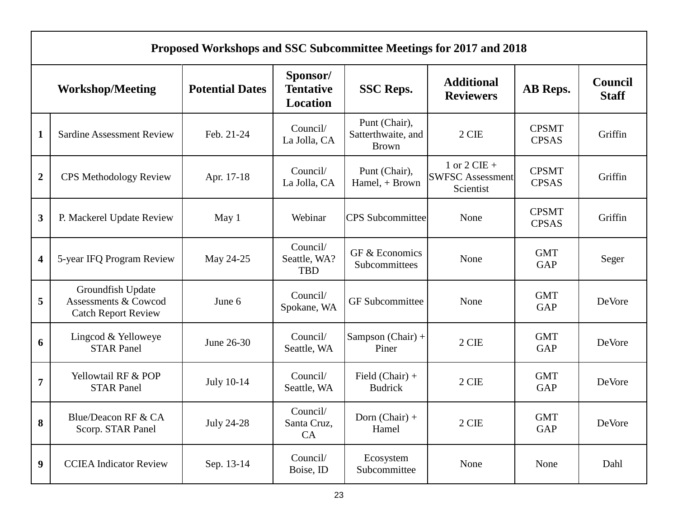|                         | Proposed Workshops and SSC Subcommittee Meetings for 2017 and 2018      |                        |                                          |                                                     |                                                        |                              |                                |  |  |
|-------------------------|-------------------------------------------------------------------------|------------------------|------------------------------------------|-----------------------------------------------------|--------------------------------------------------------|------------------------------|--------------------------------|--|--|
|                         | <b>Workshop/Meeting</b>                                                 | <b>Potential Dates</b> | Sponsor/<br><b>Tentative</b><br>Location | <b>SSC Reps.</b>                                    | <b>Additional</b><br><b>Reviewers</b>                  | AB Reps.                     | <b>Council</b><br><b>Staff</b> |  |  |
| $\mathbf{1}$            | <b>Sardine Assessment Review</b>                                        | Feb. 21-24             | Council/<br>La Jolla, CA                 | Punt (Chair),<br>Satterthwaite, and<br><b>Brown</b> | 2 CIE                                                  | <b>CPSMT</b><br><b>CPSAS</b> | Griffin                        |  |  |
| $\overline{2}$          | <b>CPS Methodology Review</b>                                           | Apr. 17-18             | Council/<br>La Jolla, CA                 | Punt (Chair),<br>Hamel, + Brown                     | 1 or $2$ CIE +<br><b>SWFSC Assessment</b><br>Scientist | <b>CPSMT</b><br><b>CPSAS</b> | Griffin                        |  |  |
| 3                       | P. Mackerel Update Review                                               | May 1                  | Webinar                                  | <b>CPS</b> Subcommittee                             | None                                                   | <b>CPSMT</b><br><b>CPSAS</b> | Griffin                        |  |  |
| $\overline{\mathbf{4}}$ | 5-year IFQ Program Review                                               | May 24-25              | Council/<br>Seattle, WA?<br><b>TBD</b>   | GF & Economics<br>Subcommittees                     | None                                                   | <b>GMT</b><br><b>GAP</b>     | Seger                          |  |  |
| 5                       | Groundfish Update<br>Assessments & Cowcod<br><b>Catch Report Review</b> | June 6                 | Council/<br>Spokane, WA                  | <b>GF</b> Subcommittee                              | None                                                   | <b>GMT</b><br><b>GAP</b>     | DeVore                         |  |  |
| 6                       | Lingcod & Yelloweye<br><b>STAR Panel</b>                                | June 26-30             | Council/<br>Seattle, WA                  | Sampson (Chair) +<br>Piner                          | 2 CIE                                                  | <b>GMT</b><br><b>GAP</b>     | DeVore                         |  |  |
| $\overline{7}$          | Yellowtail RF & POP<br><b>STAR Panel</b>                                | July 10-14             | Council/<br>Seattle, WA                  | Field $(Chair) +$<br><b>Budrick</b>                 | 2 CIE                                                  | <b>GMT</b><br><b>GAP</b>     | DeVore                         |  |  |
| 8                       | Blue/Deacon RF & CA<br>Scorp. STAR Panel                                | <b>July 24-28</b>      | Council/<br>Santa Cruz,<br>CA            | Dorn $(Chair) +$<br>Hamel                           | $2$ CIE $\,$                                           | <b>GMT</b><br>GAP            | DeVore                         |  |  |
| $\boldsymbol{9}$        | <b>CCIEA</b> Indicator Review                                           | Sep. 13-14             | Council/<br>Boise, ID                    | Ecosystem<br>Subcommittee                           | None                                                   | None                         | Dahl                           |  |  |